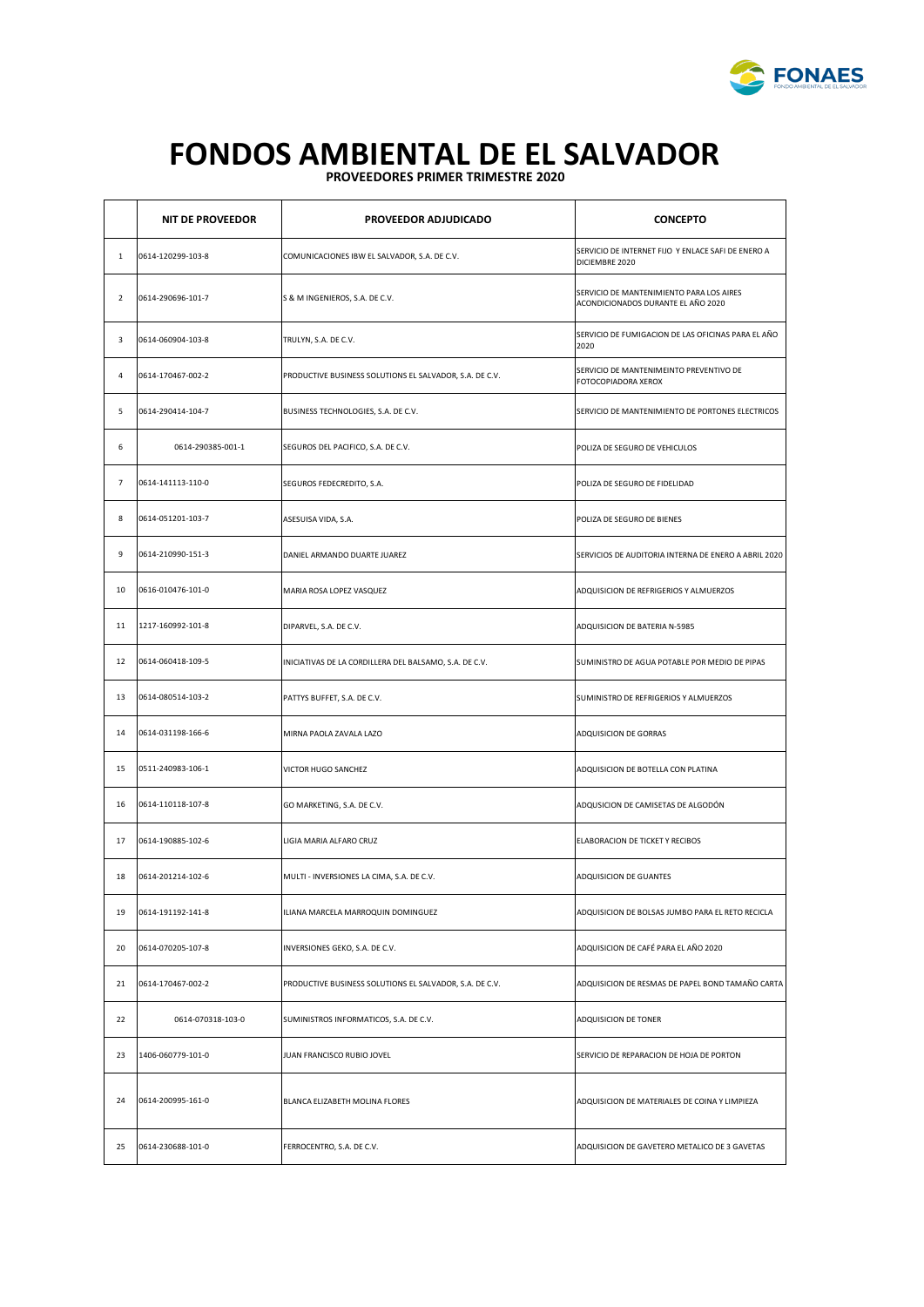

## **PROVEEDORES PRIMER TRIMESTRE 2020 FONDOS AMBIENTAL DE EL SALVADOR**

|                | <b>NIT DE PROVEEDOR</b> | PROVEEDOR ADJUDICADO                                    | <b>CONCEPTO</b>                                                                |
|----------------|-------------------------|---------------------------------------------------------|--------------------------------------------------------------------------------|
| 1              | 0614-120299-103-8       | COMUNICACIONES IBW EL SALVADOR, S.A. DE C.V.            | SERVICIO DE INTERNET FIJO Y ENLACE SAFI DE ENERO A<br>DICIEMBRE 2020           |
| $\overline{2}$ | 0614-290696-101-7       | S & M INGENIEROS, S.A. DE C.V.                          | SERVICIO DE MANTENIMIENTO PARA LOS AIRES<br>ACONDICIONADOS DURANTE EL AÑO 2020 |
| 3              | 0614-060904-103-8       | TRULYN, S.A. DE C.V.                                    | SERVICIO DE FUMIGACION DE LAS OFICINAS PARA EL AÑO<br>2020                     |
| 4              | 0614-170467-002-2       | PRODUCTIVE BUSINESS SOLUTIONS EL SALVADOR, S.A. DE C.V. | SERVICIO DE MANTENIMEINTO PREVENTIVO DE<br>FOTOCOPIADORA XEROX                 |
| 5              | 0614-290414-104-7       | BUSINESS TECHNOLOGIES, S.A. DE C.V.                     | SERVICIO DE MANTENIMIENTO DE PORTONES ELECTRICOS                               |
| 6              | 0614-290385-001-1       | SEGUROS DEL PACIFICO, S.A. DE C.V.                      | POLIZA DE SEGURO DE VEHICULOS                                                  |
| $\overline{7}$ | 0614-141113-110-0       | SEGUROS FEDECREDITO, S.A.                               | POLIZA DE SEGURO DE FIDELIDAD                                                  |
| 8              | 0614-051201-103-7       | ASESUISA VIDA, S.A.                                     | POLIZA DE SEGURO DE BIENES                                                     |
| 9              | 0614-210990-151-3       | DANIEL ARMANDO DUARTE JUAREZ                            | SERVICIOS DE AUDITORIA INTERNA DE ENERO A ABRIL 2020                           |
| 10             | 0616-010476-101-0       | MARIA ROSA LOPEZ VASQUEZ                                | ADQUISICION DE REFRIGERIOS Y ALMUERZOS                                         |
| 11             | 1217-160992-101-8       | DIPARVEL, S.A. DE C.V.                                  | ADQUISICION DE BATERIA N-5985                                                  |
| 12             | 0614-060418-109-5       | INICIATIVAS DE LA CORDILLERA DEL BALSAMO, S.A. DE C.V.  | SUMINISTRO DE AGUA POTABLE POR MEDIO DE PIPAS                                  |
| 13             | 0614-080514-103-2       | PATTYS BUFFET, S.A. DE C.V.                             | SUMINISTRO DE REFRIGERIOS Y ALMUERZOS                                          |
| 14             | 0614-031198-166-6       | MIRNA PAOLA ZAVALA LAZO                                 | ADQUISICION DE GORRAS                                                          |
| 15             | 0511-240983-106-1       | VICTOR HUGO SANCHEZ                                     | ADQUISICION DE BOTELLA CON PLATINA                                             |
| 16             | 0614-110118-107-8       | GO MARKETING, S.A. DE C.V.                              | ADQUSICION DE CAMISETAS DE ALGODÓN                                             |
| 17             | 0614-190885-102-6       | LIGIA MARIA ALFARO CRUZ                                 | ELABORACION DE TICKET Y RECIBOS                                                |
| 18             | 0614-201214-102-6       | MULTI - INVERSIONES LA CIMA, S.A. DE C.V.               | ADQUISICION DE GUANTES                                                         |
| 19             | 0614-191192-141-8       | ILIANA MARCELA MARROQUIN DOMINGUEZ                      | ADQUISICION DE BOLSAS JUMBO PARA EL RETO RECICLA                               |
| 20             | 0614-070205-107-8       | INVERSIONES GEKO, S.A. DE C.V.                          | ADQUISICION DE CAFÉ PARA EL AÑO 2020                                           |
| 21             | 0614-170467-002-2       | PRODUCTIVE BUSINESS SOLUTIONS EL SALVADOR, S.A. DE C.V. | ADQUISICION DE RESMAS DE PAPEL BOND TAMAÑO CARTA                               |
| 22             | 0614-070318-103-0       | SUMINISTROS INFORMATICOS, S.A. DE C.V.                  | ADQUISICION DE TONER                                                           |
| 23             | 1406-060779-101-0       | JUAN FRANCISCO RUBIO JOVEL                              | SERVICIO DE REPARACION DE HOJA DE PORTON                                       |
| 24             | 0614-200995-161-0       | BLANCA ELIZABETH MOLINA FLORES                          | ADQUISICION DE MATERIALES DE COINA Y LIMPIEZA                                  |
| 25             | 0614-230688-101-0       | FERROCENTRO, S.A. DE C.V.                               | ADQUISICION DE GAVETERO METALICO DE 3 GAVETAS                                  |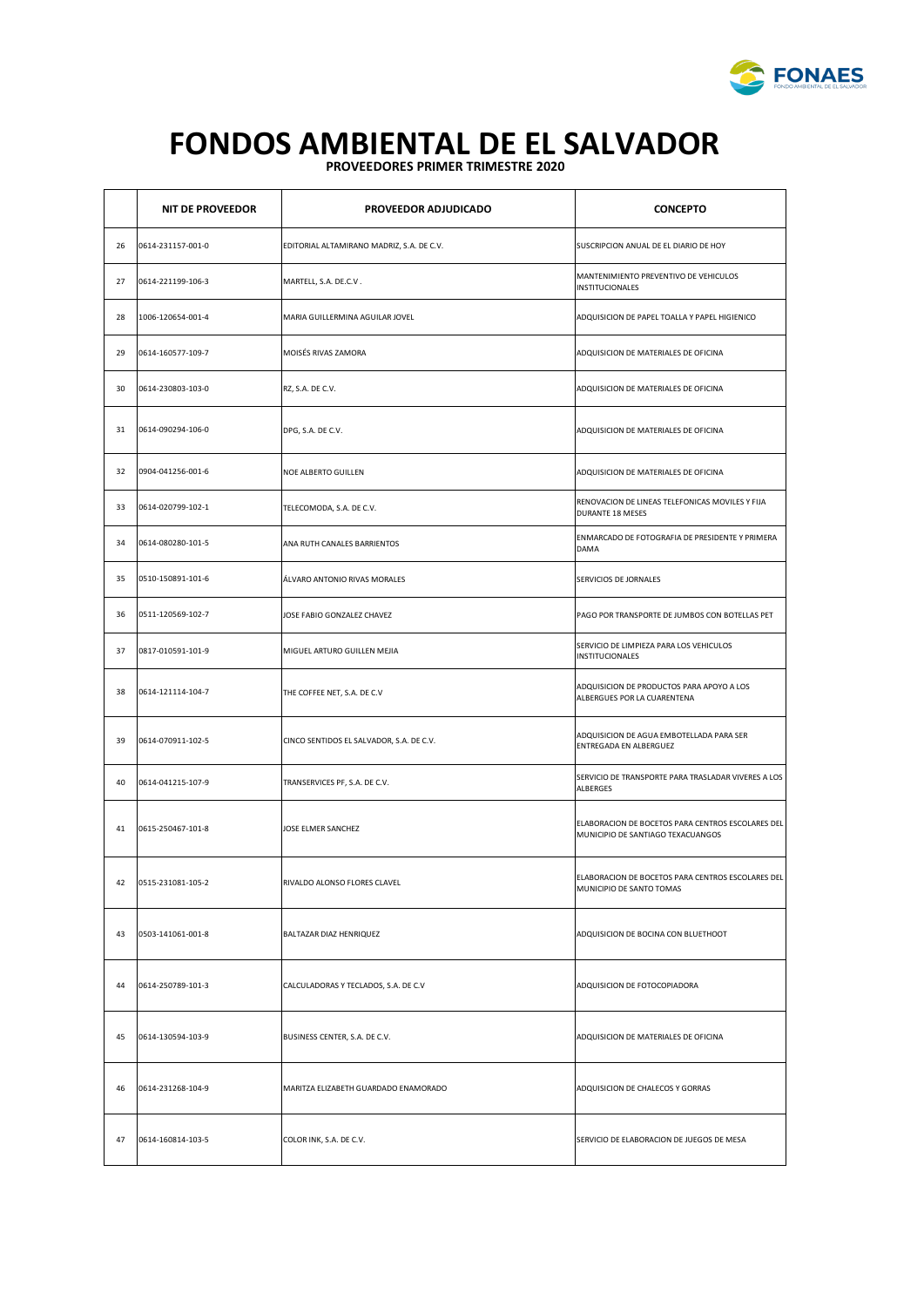

## **PROVEEDORES PRIMER TRIMESTRE 2020 FONDOS AMBIENTAL DE EL SALVADOR**

|    | <b>NIT DE PROVEEDOR</b> | PROVEEDOR ADJUDICADO                      | <b>CONCEPTO</b>                                                                        |
|----|-------------------------|-------------------------------------------|----------------------------------------------------------------------------------------|
| 26 | 0614-231157-001-0       | EDITORIAL ALTAMIRANO MADRIZ, S.A. DE C.V. | SUSCRIPCION ANUAL DE EL DIARIO DE HOY                                                  |
| 27 | 0614-221199-106-3       | MARTELL, S.A. DE.C.V.                     | MANTENIMIENTO PREVENTIVO DE VEHICULOS<br><b>INSTITUCIONALES</b>                        |
| 28 | 1006-120654-001-4       | MARIA GUILLERMINA AGUILAR JOVEL           | ADQUISICION DE PAPEL TOALLA Y PAPEL HIGIENICO                                          |
| 29 | 0614-160577-109-7       | MOISÉS RIVAS ZAMORA                       | ADQUISICION DE MATERIALES DE OFICINA                                                   |
| 30 | 0614-230803-103-0       | RZ, S.A. DE C.V.                          | ADQUISICION DE MATERIALES DE OFICINA                                                   |
| 31 | 0614-090294-106-0       | DPG, S.A. DE C.V.                         | ADQUISICION DE MATERIALES DE OFICINA                                                   |
| 32 | 0904-041256-001-6       | <b>NOE ALBERTO GUILLEN</b>                | ADQUISICION DE MATERIALES DE OFICINA                                                   |
| 33 | 0614-020799-102-1       | TELECOMODA, S.A. DE C.V.                  | RENOVACION DE LINEAS TELEFONICAS MOVILES Y FIJA<br><b>DURANTE 18 MESES</b>             |
| 34 | 0614-080280-101-5       | ANA RUTH CANALES BARRIENTOS               | ENMARCADO DE FOTOGRAFIA DE PRESIDENTE Y PRIMERA<br>DAMA                                |
| 35 | 0510-150891-101-6       | ÁLVARO ANTONIO RIVAS MORALES              | SERVICIOS DE JORNALES                                                                  |
| 36 | 0511-120569-102-7       | JOSE FABIO GONZALEZ CHAVEZ                | PAGO POR TRANSPORTE DE JUMBOS CON BOTELLAS PET                                         |
| 37 | 0817-010591-101-9       | MIGUEL ARTURO GUILLEN MEJIA               | SERVICIO DE LIMPIEZA PARA LOS VEHICULOS<br>INSTITUCIONALES                             |
| 38 | 0614-121114-104-7       | THE COFFEE NET, S.A. DE C.V               | ADQUISICION DE PRODUCTOS PARA APOYO A LOS<br>ALBERGUES POR LA CUARENTENA               |
| 39 | 0614-070911-102-5       | CINCO SENTIDOS EL SALVADOR, S.A. DE C.V.  | ADQUISICION DE AGUA EMBOTELLADA PARA SER<br>ENTREGADA EN ALBERGUEZ                     |
| 40 | 0614-041215-107-9       | TRANSERVICES PF, S.A. DE C.V.             | SERVICIO DE TRANSPORTE PARA TRASLADAR VIVERES A LOS<br><b>ALBERGES</b>                 |
| 41 | 0615-250467-101-8       | JOSE ELMER SANCHEZ                        | ELABORACION DE BOCETOS PARA CENTROS ESCOLARES DEL<br>MUNICIPIO DE SANTIAGO TEXACUANGOS |
| 42 | 0515-231081-105-2       | RIVALDO ALONSO FLORES CLAVEL              | ELABORACION DE BOCETOS PARA CENTROS ESCOLARES DEL<br>MUNICIPIO DE SANTO TOMAS          |
| 43 | 0503-141061-001-8       | BALTAZAR DIAZ HENRIQUEZ                   | ADQUISICION DE BOCINA CON BLUETHOOT                                                    |
| 44 | 0614-250789-101-3       | CALCULADORAS Y TECLADOS, S.A. DE C.V      | ADQUISICION DE FOTOCOPIADORA                                                           |
| 45 | 0614-130594-103-9       | BUSINESS CENTER, S.A. DE C.V.             | ADQUISICION DE MATERIALES DE OFICINA                                                   |
| 46 | 0614-231268-104-9       | MARITZA ELIZABETH GUARDADO ENAMORADO      | ADQUISICION DE CHALECOS Y GORRAS                                                       |
| 47 | 0614-160814-103-5       | COLOR INK, S.A. DE C.V.                   | SERVICIO DE ELABORACION DE JUEGOS DE MESA                                              |